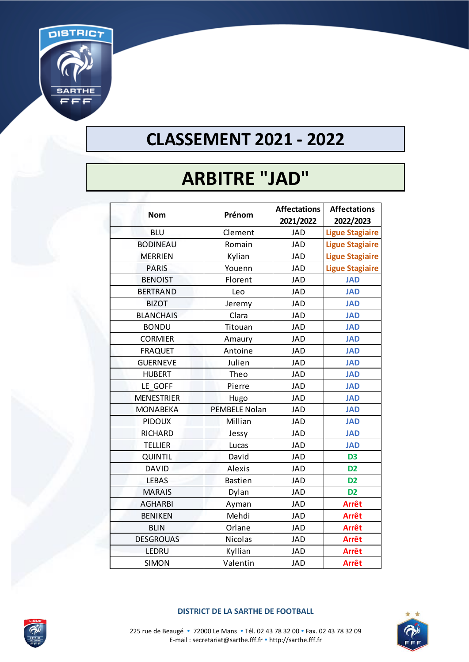

## **CLASSEMENT 2021 - 2022**

# **ARBITRE "JAD"**

| <b>Nom</b>        | Prénom               | <b>Affectations</b><br>2021/2022 | <b>Affectations</b><br>2022/2023 |
|-------------------|----------------------|----------------------------------|----------------------------------|
| <b>BLU</b>        | Clement              | <b>JAD</b>                       | <b>Ligue Stagiaire</b>           |
| <b>BODINEAU</b>   | Romain               | <b>JAD</b>                       | <b>Ligue Stagiaire</b>           |
| <b>MERRIEN</b>    | Kylian               | <b>JAD</b>                       | <b>Ligue Stagiaire</b>           |
| <b>PARIS</b>      | Youenn               | <b>JAD</b>                       | <b>Ligue Stagiaire</b>           |
| <b>BENOIST</b>    | Florent              | <b>JAD</b>                       | <b>JAD</b>                       |
| <b>BERTRAND</b>   | Leo                  | <b>JAD</b>                       | <b>JAD</b>                       |
| <b>BIZOT</b>      | Jeremy               | <b>JAD</b>                       | <b>JAD</b>                       |
| <b>BLANCHAIS</b>  | Clara                | <b>JAD</b>                       | <b>JAD</b>                       |
| <b>BONDU</b>      | Titouan              | <b>JAD</b>                       | <b>JAD</b>                       |
| <b>CORMIER</b>    | Amaury               | <b>JAD</b>                       | <b>JAD</b>                       |
| <b>FRAQUET</b>    | Antoine              | <b>JAD</b>                       | <b>JAD</b>                       |
| <b>GUERNEVE</b>   | Julien               | <b>JAD</b>                       | <b>JAD</b>                       |
| <b>HUBERT</b>     | Theo                 | <b>JAD</b>                       | <b>JAD</b>                       |
| LE GOFF           | Pierre               | <b>JAD</b>                       | <b>JAD</b>                       |
| <b>MENESTRIER</b> | Hugo                 | <b>JAD</b>                       | <b>JAD</b>                       |
| <b>MONABEKA</b>   | <b>PEMBELE Nolan</b> | <b>JAD</b>                       | <b>JAD</b>                       |
| <b>PIDOUX</b>     | Millian              | <b>JAD</b>                       | <b>JAD</b>                       |
| <b>RICHARD</b>    | Jessy                | <b>JAD</b>                       | <b>JAD</b>                       |
| <b>TELLIER</b>    | Lucas                | <b>JAD</b>                       | <b>JAD</b>                       |
| <b>QUINTIL</b>    | David                | <b>JAD</b>                       | D <sub>3</sub>                   |
| <b>DAVID</b>      | Alexis               | <b>JAD</b>                       | D <sub>2</sub>                   |
| <b>LEBAS</b>      | <b>Bastien</b>       | <b>JAD</b>                       | D <sub>2</sub>                   |
| <b>MARAIS</b>     | Dylan                | <b>JAD</b>                       | D <sub>2</sub>                   |
| <b>AGHARBI</b>    | Ayman                | <b>JAD</b>                       | <b>Arrêt</b>                     |
| <b>BENIKEN</b>    | Mehdi                | <b>JAD</b>                       | <b>Arrêt</b>                     |
| <b>BLIN</b>       | Orlane               | <b>JAD</b>                       | <b>Arrêt</b>                     |
| <b>DESGROUAS</b>  | Nicolas              | <b>JAD</b>                       | <b>Arrêt</b>                     |
| LEDRU             | Kyllian              | <b>JAD</b>                       | <b>Arrêt</b>                     |
| <b>SIMON</b>      | Valentin             | <b>JAD</b>                       | <b>Arrêt</b>                     |



#### **DISTRICT DE LA SARTHE DE FOOTBALL**